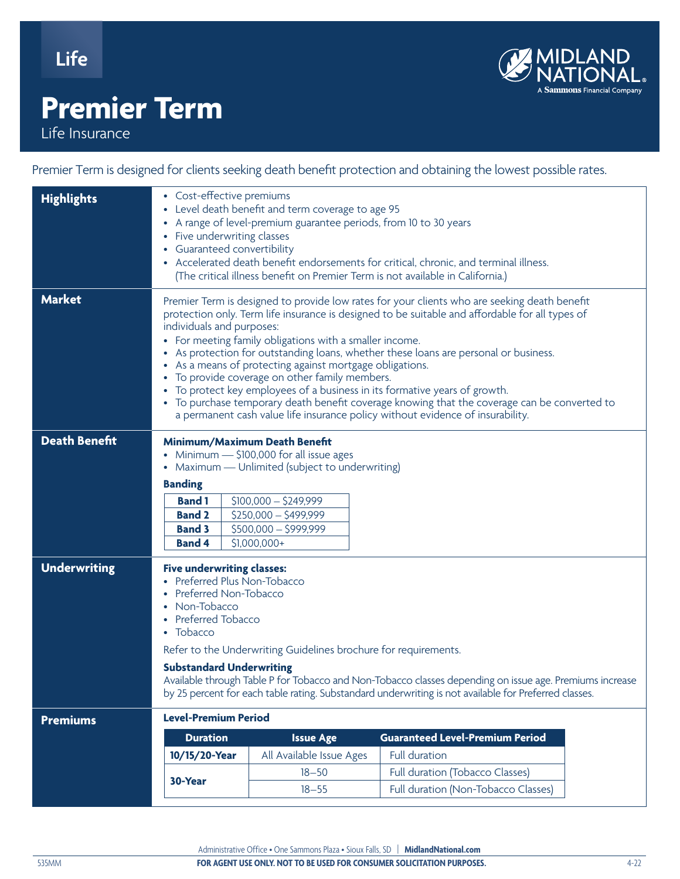**Life**

## **Premier Term**

Life Insurance

Premier Term is designed for clients seeking death benefit protection and obtaining the lowest possible rates.

| <b>Highlights</b>    | • Cost-effective premiums<br>• Level death benefit and term coverage to age 95<br>• A range of level-premium guarantee periods, from 10 to 30 years<br>• Five underwriting classes<br>• Guaranteed convertibility<br>• Accelerated death benefit endorsements for critical, chronic, and terminal illness.<br>(The critical illness benefit on Premier Term is not available in California.)                                                                                                                                                                                                                                                                                                                                                              |                          |                                                                        |  |  |  |  |  |
|----------------------|-----------------------------------------------------------------------------------------------------------------------------------------------------------------------------------------------------------------------------------------------------------------------------------------------------------------------------------------------------------------------------------------------------------------------------------------------------------------------------------------------------------------------------------------------------------------------------------------------------------------------------------------------------------------------------------------------------------------------------------------------------------|--------------------------|------------------------------------------------------------------------|--|--|--|--|--|
| <b>Market</b>        | Premier Term is designed to provide low rates for your clients who are seeking death benefit<br>protection only. Term life insurance is designed to be suitable and affordable for all types of<br>individuals and purposes:<br>• For meeting family obligations with a smaller income.<br>• As protection for outstanding loans, whether these loans are personal or business.<br>• As a means of protecting against mortgage obligations.<br>To provide coverage on other family members.<br>To protect key employees of a business in its formative years of growth.<br>• To purchase temporary death benefit coverage knowing that the coverage can be converted to<br>a permanent cash value life insurance policy without evidence of insurability. |                          |                                                                        |  |  |  |  |  |
| <b>Death Benefit</b> | Minimum/Maximum Death Benefit<br>• Minimum - \$100,000 for all issue ages<br>• Maximum - Unlimited (subject to underwriting)<br><b>Banding</b><br>$$100,000 - $249,999$<br><b>Band 1</b><br><b>Band 2</b><br>$$250,000 - $499,999$<br>$$500,000 - $999,999$<br><b>Band 3</b><br><b>Band 4</b><br>$$1,000,000+$                                                                                                                                                                                                                                                                                                                                                                                                                                            |                          |                                                                        |  |  |  |  |  |
| <b>Underwriting</b>  | <b>Five underwriting classes:</b><br>• Preferred Plus Non-Tobacco<br>Preferred Non-Tobacco<br>Non-Tobacco<br><b>Preferred Tobacco</b><br>• Tobacco<br>Refer to the Underwriting Guidelines brochure for requirements.<br><b>Substandard Underwriting</b><br>Available through Table P for Tobacco and Non-Tobacco classes depending on issue age. Premiums increase<br>by 25 percent for each table rating. Substandard underwriting is not available for Preferred classes.                                                                                                                                                                                                                                                                              |                          |                                                                        |  |  |  |  |  |
| <b>Premiums</b>      | <b>Level-Premium Period</b>                                                                                                                                                                                                                                                                                                                                                                                                                                                                                                                                                                                                                                                                                                                               |                          |                                                                        |  |  |  |  |  |
|                      | <b>Duration</b>                                                                                                                                                                                                                                                                                                                                                                                                                                                                                                                                                                                                                                                                                                                                           | <b>Issue Age</b>         | <b>Guaranteed Level-Premium Period</b>                                 |  |  |  |  |  |
|                      | 10/15/20-Year                                                                                                                                                                                                                                                                                                                                                                                                                                                                                                                                                                                                                                                                                                                                             | All Available Issue Ages | <b>Full duration</b>                                                   |  |  |  |  |  |
|                      | 30-Year                                                                                                                                                                                                                                                                                                                                                                                                                                                                                                                                                                                                                                                                                                                                                   | $18 - 50$<br>$18 - 55$   | Full duration (Tobacco Classes)<br>Full duration (Non-Tobacco Classes) |  |  |  |  |  |
|                      |                                                                                                                                                                                                                                                                                                                                                                                                                                                                                                                                                                                                                                                                                                                                                           |                          |                                                                        |  |  |  |  |  |

Administrative Office • One Sammons Plaza • Sioux Falls, SD | **MidlandNational.com**

Sammons Financial Company